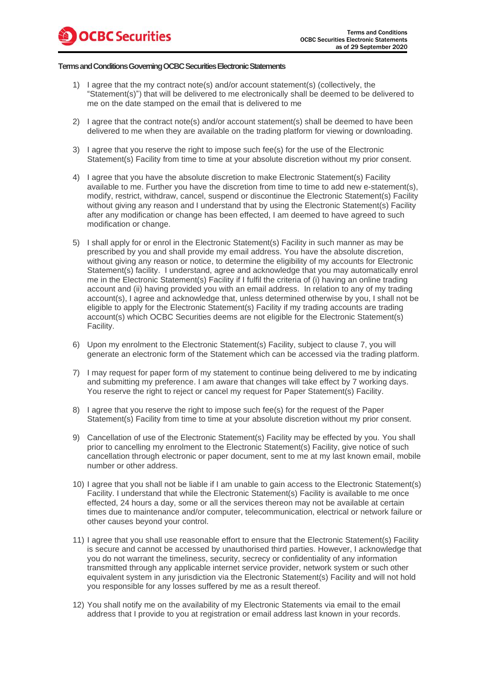## **Terms and Conditions Governing OCBC Securities Electronic Statements**

- 1) I agree that the my contract note(s) and/or account statement(s) (collectively, the "Statement(s)") that will be delivered to me electronically shall be deemed to be delivered to me on the date stamped on the email that is delivered to me
- 2) I agree that the contract note(s) and/or account statement(s) shall be deemed to have been delivered to me when they are available on the trading platform for viewing or downloading.
- 3) I agree that you reserve the right to impose such fee(s) for the use of the Electronic Statement(s) Facility from time to time at your absolute discretion without my prior consent.
- 4) I agree that you have the absolute discretion to make Electronic Statement(s) Facility available to me. Further you have the discretion from time to time to add new e-statement(s), modify, restrict, withdraw, cancel, suspend or discontinue the Electronic Statement(s) Facility without giving any reason and I understand that by using the Electronic Statement(s) Facility after any modification or change has been effected, I am deemed to have agreed to such modification or change.
- 5) I shall apply for or enrol in the Electronic Statement(s) Facility in such manner as may be prescribed by you and shall provide my email address. You have the absolute discretion, without giving any reason or notice, to determine the eligibility of my accounts for Electronic Statement(s) facility. I understand, agree and acknowledge that you may automatically enrol me in the Electronic Statement(s) Facility if I fulfil the criteria of (i) having an online trading account and (ii) having provided you with an email address. In relation to any of my trading account(s), I agree and acknowledge that, unless determined otherwise by you, I shall not be eligible to apply for the Electronic Statement(s) Facility if my trading accounts are trading account(s) which OCBC Securities deems are not eligible for the Electronic Statement(s) Facility.
- 6) Upon my enrolment to the Electronic Statement(s) Facility, subject to clause 7, you will generate an electronic form of the Statement which can be accessed via the trading platform.
- 7) I may request for paper form of my statement to continue being delivered to me by indicating and submitting my preference. I am aware that changes will take effect by 7 working days. You reserve the right to reject or cancel my request for Paper Statement(s) Facility.
- 8) I agree that you reserve the right to impose such fee(s) for the request of the Paper Statement(s) Facility from time to time at your absolute discretion without my prior consent.
- 9) Cancellation of use of the Electronic Statement(s) Facility may be effected by you. You shall prior to cancelling my enrolment to the Electronic Statement(s) Facility, give notice of such cancellation through electronic or paper document, sent to me at my last known email, mobile number or other address.
- 10) I agree that you shall not be liable if I am unable to gain access to the Electronic Statement(s) Facility. I understand that while the Electronic Statement(s) Facility is available to me once effected, 24 hours a day, some or all the services thereon may not be available at certain times due to maintenance and/or computer, telecommunication, electrical or network failure or other causes beyond your control.
- 11) I agree that you shall use reasonable effort to ensure that the Electronic Statement(s) Facility is secure and cannot be accessed by unauthorised third parties. However, I acknowledge that you do not warrant the timeliness, security, secrecy or confidentiality of any information transmitted through any applicable internet service provider, network system or such other equivalent system in any jurisdiction via the Electronic Statement(s) Facility and will not hold you responsible for any losses suffered by me as a result thereof.
- 12) You shall notify me on the availability of my Electronic Statements via email to the email address that I provide to you at registration or email address last known in your records.